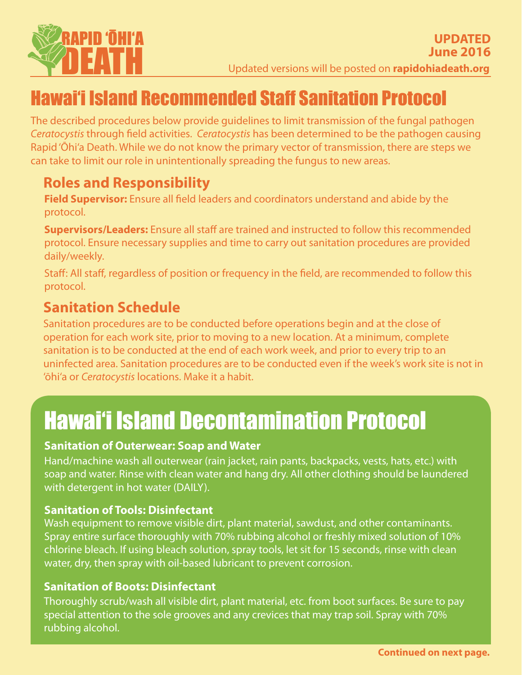

# Hawai'i Island Recommended Staff Sanitation Protocol

The described procedures below provide guidelines to limit transmission of the fungal pathogen *Ceratocystis* through field activities. *Ceratocystis* has been determined to be the pathogen causing Rapid 'Ōhi'a Death. While we do not know the primary vector of transmission, there are steps we can take to limit our role in unintentionally spreading the fungus to new areas.

## **Roles and Responsibility**

**Field Supervisor:** Ensure all field leaders and coordinators understand and abide by the protocol.

**Supervisors/Leaders:** Ensure all staff are trained and instructed to follow this recommended protocol. Ensure necessary supplies and time to carry out sanitation procedures are provided daily/weekly.

Staff: All staff, regardless of position or frequency in the field, are recommended to follow this protocol.

### **Sanitation Schedule**

Sanitation procedures are to be conducted before operations begin and at the close of operation for each work site, prior to moving to a new location. At a minimum, complete sanitation is to be conducted at the end of each work week, and prior to every trip to an uninfected area. Sanitation procedures are to be conducted even if the week's work site is not in 'ōhi'a or *Ceratocystis* locations. Make it a habit.

# Hawai'i Island Decontamination Protocol

#### **Sanitation of Outerwear: Soap and Water**

Hand/machine wash all outerwear (rain jacket, rain pants, backpacks, vests, hats, etc.) with soap and water. Rinse with clean water and hang dry. All other clothing should be laundered with detergent in hot water (DAILY).

#### **Sanitation of Tools: Disinfectant**

Wash equipment to remove visible dirt, plant material, sawdust, and other contaminants. Spray entire surface thoroughly with 70% rubbing alcohol or freshly mixed solution of 10% chlorine bleach. If using bleach solution, spray tools, let sit for 15 seconds, rinse with clean water, dry, then spray with oil-based lubricant to prevent corrosion.

#### **Sanitation of Boots: Disinfectant**

Thoroughly scrub/wash all visible dirt, plant material, etc. from boot surfaces. Be sure to pay special attention to the sole grooves and any crevices that may trap soil. Spray with 70% rubbing alcohol.